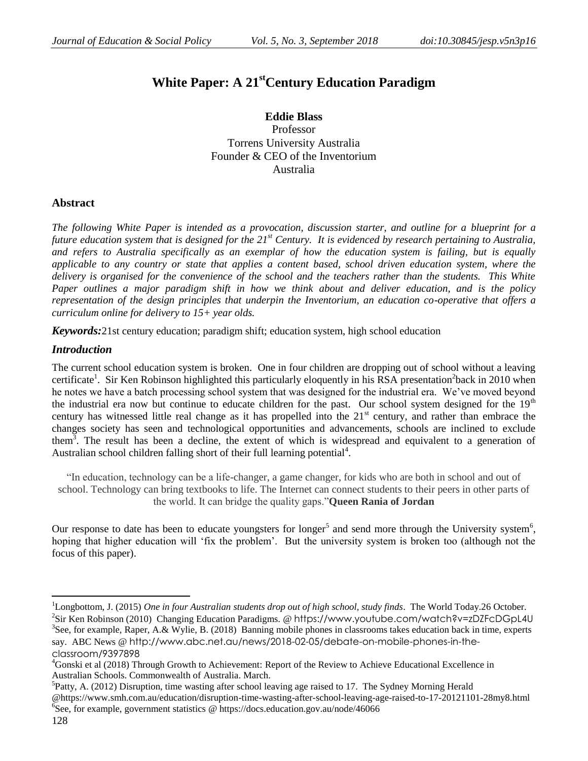# **White Paper: A 21stCentury Education Paradigm**

**Eddie Blass** Professor Torrens University Australia Founder & CEO of the Inventorium Australia

# **Abstract**

*The following White Paper is intended as a provocation, discussion starter, and outline for a blueprint for a future education system that is designed for the 21st Century. It is evidenced by research pertaining to Australia, and refers to Australia specifically as an exemplar of how the education system is failing, but is equally applicable to any country or state that applies a content based, school driven education system, where the delivery is organised for the convenience of the school and the teachers rather than the students. This White Paper outlines a major paradigm shift in how we think about and deliver education, and is the policy representation of the design principles that underpin the Inventorium, an education co-operative that offers a curriculum online for delivery to 15+ year olds.*

*Keywords:*21st century education; paradigm shift; education system, high school education

# *Introduction*

The current school education system is broken. One in four children are dropping out of school without a leaving certificate<sup>1</sup>. Sir Ken Robinson highlighted this particularly eloquently in his RSA presentation<sup>2</sup>back in 2010 when he notes we have a batch processing school system that was designed for the industrial era. We"ve moved beyond the industrial era now but continue to educate children for the past. Our school system designed for the  $19<sup>th</sup>$ century has witnessed little real change as it has propelled into the 21<sup>st</sup> century, and rather than embrace the changes society has seen and technological opportunities and advancements, schools are inclined to exclude them<sup>3</sup>. The result has been a decline, the extent of which is widespread and equivalent to a generation of Australian school children falling short of their full learning potential $4$ .

"In education, technology can be a life-changer, a game changer, for kids who are both in school and out of school. Technology can bring textbooks to life. The Internet can connect students to their peers in other parts of the world. It can bridge the quality gaps."**Queen Rania of Jordan**

Our response to date has been to educate youngsters for longer<sup>5</sup> and send more through the University system<sup>6</sup>, hoping that higher education will "fix the problem". But the university system is broken too (although not the focus of this paper).

 $\overline{a}$ 

<sup>1</sup>Longbottom, J. (2015) *One in four Australian students drop out of high school, study finds*. The World Today.26 October. <sup>2</sup>Sir Ken Robinson (2010) Changing Education Paradigms. @ <https://www.youtube.com/watch?v=zDZFcDGpL4U> <sup>3</sup>See, for example, Raper, A.& Wylie, B. (2018) Banning mobile phones in classrooms takes education back in time, experts say. ABC News @ [http://www.abc.net.au/news/2018-02-05/debate-on-mobile-phones-in-the](http://www.abc.net.au/news/2018-02-05/debate-on-mobile-phones-in-the-classroom/9397898)[classroom/9397898](http://www.abc.net.au/news/2018-02-05/debate-on-mobile-phones-in-the-classroom/9397898)

<sup>4</sup>Gonski et al (2018) Through Growth to Achievement: Report of the Review to Achieve Educational Excellence in Australian Schools. Commonwealth of Australia. March.

<sup>&</sup>lt;sup>5</sup>Patty, A. (2012) Disruption, time wasting after school leaving age raised to 17. The Sydney Morning Herald @https://www.smh.com.au/education/disruption-time-wasting-after-school-leaving-age-raised-to-17-20121101-28my8.html 6 See, for example, government statistics @ https://docs.education.gov.au/node/46066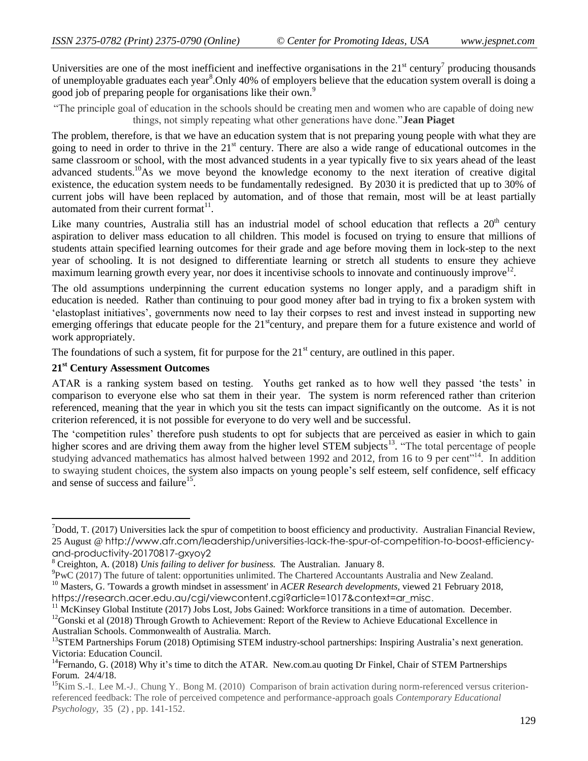Universities are one of the most inefficient and ineffective organisations in the  $21<sup>st</sup>$  century<sup>7</sup> producing thousands of unemployable graduates each year<sup>8</sup>. Only 40% of employers believe that the education system overall is doing a good job of preparing people for organisations like their own.<sup>9</sup>

"The principle goal of education in the schools should be creating men and women who are capable of doing new things, not simply repeating what other generations have done."**Jean Piaget**

The problem, therefore, is that we have an education system that is not preparing young people with what they are going to need in order to thrive in the  $21<sup>st</sup>$  century. There are also a wide range of educational outcomes in the same classroom or school, with the most advanced students in a year typically five to six years ahead of the least advanced students.<sup>10</sup>As we move beyond the knowledge economy to the next iteration of creative digital existence, the education system needs to be fundamentally redesigned. By 2030 it is predicted that up to 30% of current jobs will have been replaced by automation, and of those that remain, most will be at least partially automated from their current format<sup>11</sup>.

Like many countries, Australia still has an industrial model of school education that reflects a  $20<sup>th</sup>$  century aspiration to deliver mass education to all children. This model is focused on trying to ensure that millions of students attain specified learning outcomes for their grade and age before moving them in lock-step to the next year of schooling. It is not designed to differentiate learning or stretch all students to ensure they achieve  $\frac{1}{2}$  maximum learning growth every year, nor does it incentivise schools to innovate and continuously improve<sup>12</sup>.

The old assumptions underpinning the current education systems no longer apply, and a paradigm shift in education is needed. Rather than continuing to pour good money after bad in trying to fix a broken system with "elastoplast initiatives", governments now need to lay their corpses to rest and invest instead in supporting new emerging offerings that educate people for the  $21<sup>st</sup>$ century, and prepare them for a future existence and world of work appropriately.

The foundations of such a system, fit for purpose for the  $21<sup>st</sup>$  century, are outlined in this paper.

# **21st Century Assessment Outcomes**

 $\overline{a}$ 

ATAR is a ranking system based on testing. Youths get ranked as to how well they passed "the tests" in comparison to everyone else who sat them in their year. The system is norm referenced rather than criterion referenced, meaning that the year in which you sit the tests can impact significantly on the outcome. As it is not criterion referenced, it is not possible for everyone to do very well and be successful.

The 'competition rules' therefore push students to opt for subjects that are perceived as easier in which to gain higher scores and are driving them away from the higher level STEM subjects<sup>13</sup>. "The total percentage of people studying advanced mathematics has almost halved between 1992 and 2012, from 16 to 9 per cent"<sup>14</sup>. In addition to swaying student choices, the system also impacts on young people"s self esteem, self confidence, self efficacy and sense of success and failure<sup>15</sup>.

<sup>9</sup>PwC (2017) The future of talent: opportunities unlimited. The Chartered Accountants Australia and New Zealand.

<sup>11</sup> McKinsey Global Institute (2017) Jobs Lost, Jobs Gained: Workforce transitions in a time of automation. December.

 $^7$ Dodd, T. (2017) Universities lack the spur of competition to boost efficiency and productivity. Australian Financial Review, 25 August @ [http://www.afr.com/leadership/universities-lack-the-spur-of-competition-to-boost-efficiency](http://www.afr.com/leadership/universities-lack-the-spur-of-competition-to-boost-efficiency-and-productivity-20170817-gxyoy2)[and-productivity-20170817-gxyoy2](http://www.afr.com/leadership/universities-lack-the-spur-of-competition-to-boost-efficiency-and-productivity-20170817-gxyoy2)

<sup>8</sup> Creighton, A. (2018) *Unis failing to deliver for business.* The Australian. January 8.

<sup>10</sup> Masters, G. 'Towards a growth mindset in assessment' in *ACER Research developments,* viewed 21 February 2018,

[https://research.acer.edu.au/cgi/viewcontent.cgi?article=1017&context=ar\\_misc](https://research.acer.edu.au/cgi/viewcontent.cgi?article=1017&context=ar_misc).

 $12$ Gonski et al (2018) Through Growth to Achievement: Report of the Review to Achieve Educational Excellence in Australian Schools. Commonwealth of Australia. March.

<sup>&</sup>lt;sup>13</sup>STEM Partnerships Forum (2018) Optimising STEM industry-school partnerships: Inspiring Australia's next generation. Victoria: Education Council.

<sup>&</sup>lt;sup>14</sup>Fernando, G. (2018) Why it's time to ditch the ATAR. New.com.au quoting Dr Finkel, Chair of STEM Partnerships Forum. 24/4/18.

 $^{15}$ Kim S.-I., Lee M.-J., Chung Y., Bong M. (2010) Comparison of brain activation during norm-referenced versus criterionreferenced feedback: The role of perceived competence and performance-approach goals *Contemporary Educational Psychology*, 35 (2) , pp. 141-152.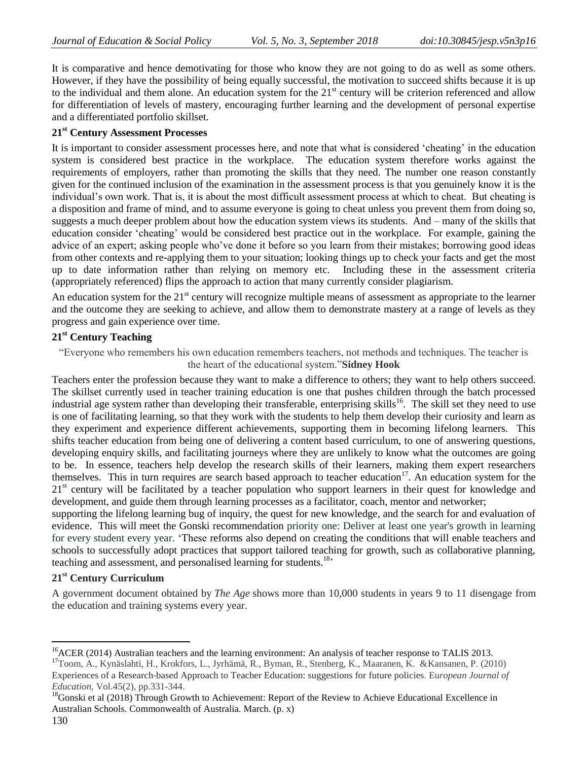It is comparative and hence demotivating for those who know they are not going to do as well as some others. However, if they have the possibility of being equally successful, the motivation to succeed shifts because it is up to the individual and them alone. An education system for the  $21<sup>st</sup>$  century will be criterion referenced and allow for differentiation of levels of mastery, encouraging further learning and the development of personal expertise and a differentiated portfolio skillset.

## **21st Century Assessment Processes**

It is important to consider assessment processes here, and note that what is considered 'cheating' in the education system is considered best practice in the workplace. The education system therefore works against the requirements of employers, rather than promoting the skills that they need. The number one reason constantly given for the continued inclusion of the examination in the assessment process is that you genuinely know it is the individual"s own work. That is, it is about the most difficult assessment process at which to cheat. But cheating is a disposition and frame of mind, and to assume everyone is going to cheat unless you prevent them from doing so, suggests a much deeper problem about how the education system views its students. And – many of the skills that education consider "cheating" would be considered best practice out in the workplace. For example, gaining the advice of an expert; asking people who"ve done it before so you learn from their mistakes; borrowing good ideas from other contexts and re-applying them to your situation; looking things up to check your facts and get the most up to date information rather than relying on memory etc. Including these in the assessment criteria (appropriately referenced) flips the approach to action that many currently consider plagiarism.

An education system for the  $21<sup>st</sup>$  century will recognize multiple means of assessment as appropriate to the learner and the outcome they are seeking to achieve, and allow them to demonstrate mastery at a range of levels as they progress and gain experience over time.

#### **21st Century Teaching**

"Everyone who remembers his own education remembers teachers, not methods and techniques. The teacher is the heart of the educational system."**Sidney Hook**

Teachers enter the profession because they want to make a difference to others; they want to help others succeed. The skillset currently used in teacher training education is one that pushes children through the batch processed industrial age system rather than developing their transferable, enterprising skills<sup>16</sup>. The skill set they need to use is one of facilitating learning, so that they work with the students to help them develop their curiosity and learn as they experiment and experience different achievements, supporting them in becoming lifelong learners. This shifts teacher education from being one of delivering a content based curriculum, to one of answering questions, developing enquiry skills, and facilitating journeys where they are unlikely to know what the outcomes are going to be. In essence, teachers help develop the research skills of their learners, making them expert researchers themselves. This in turn requires are search based approach to teacher education<sup>17</sup>. An education system for the 21<sup>st</sup> century will be facilitated by a teacher population who support learners in their quest for knowledge and development, and guide them through learning processes as a facilitator, coach, mentor and networker;

supporting the lifelong learning bug of inquiry, the quest for new knowledge, and the search for and evaluation of evidence. This will meet the Gonski recommendation priority one: Deliver at least one year's growth in learning for every student every year. "These reforms also depend on creating the conditions that will enable teachers and schools to successfully adopt practices that support tailored teaching for growth, such as collaborative planning, teaching and assessment, and personalised learning for students.<sup>18</sup>

## **21st Century Curriculum**

A government document obtained by *The Age* shows more than 10,000 students in years 9 to 11 disengage from the education and training systems every year.

 $\overline{a}$ 

 $^{16}$ ACER (2014) Australian teachers and the learning environment: An analysis of teacher response to TALIS 2013.

<sup>&</sup>lt;sup>17</sup>Toom, A., Kynäslahti, H., Krokfors, L., Jyrhämä, R., Byman, R., Stenberg, K., Maaranen, K. &Kansanen, P. (2010) Experiences of a Research‐based Approach to [Teacher Education: suggestions for](https://librarysearch.swinburne.edu.au/primo-explore/fulldisplay?docid=TN_wj10.1111/j.1465-3435.2010.01432.x&context=PC&vid=SWIN2&lang=en_US&search_scope=Blended&adaptor=primo_central_multiple_fe&tab=combined&query=any,contains,future%20teacher%20education&facet=rtype,include,articles&offset=0) future policies. Eu*ropean Journal of Education,* Vol.45(2), pp.331-344.

<sup>&</sup>lt;sup>18</sup>Gonski et al (2018) Through Growth to Achievement: Report of the Review to Achieve Educational Excellence in Australian Schools. Commonwealth of Australia. March. (p. x)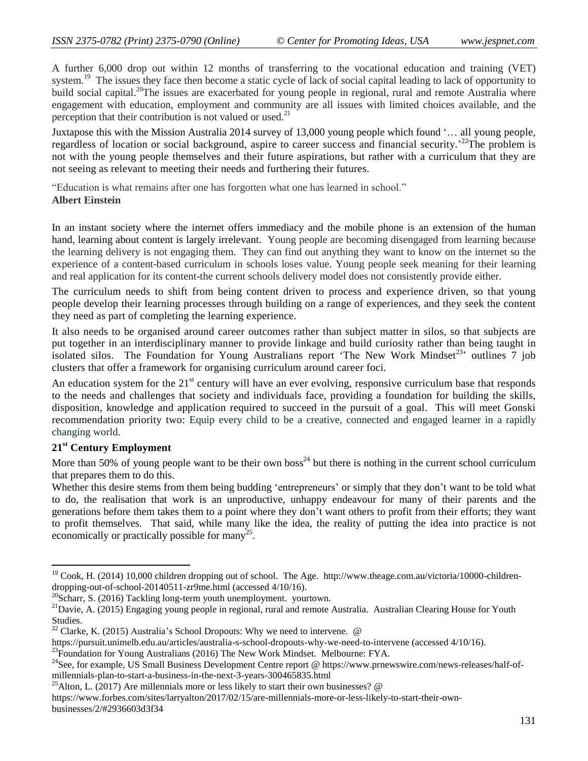A further 6,000 drop out within 12 months of transferring to the vocational education and training (VET) system.<sup>19</sup> The issues they face then become a static cycle of lack of social capital leading to lack of opportunity to build social capital.<sup>20</sup>The issues are exacerbated for young people in regional, rural and remote Australia where engagement with education, employment and community are all issues with limited choices available, and the perception that their contribution is not valued or used. $^{21}$ 

Juxtapose this with the Mission Australia 2014 survey of 13,000 young people which found "… all young people, regardless of location or social background, aspire to career success and financial security.<sup>22</sup>The problem is not with the young people themselves and their future aspirations, but rather with a curriculum that they are not seeing as relevant to meeting their needs and furthering their futures.

"Education is what remains after one has forgotten what one has learned in school." **Albert Einstein**

In an instant society where the internet offers immediacy and the mobile phone is an extension of the human hand, learning about content is largely irrelevant. Young people are becoming disengaged from learning because the learning delivery is not engaging them. They can find out anything they want to know on the internet so the experience of a content-based curriculum in schools loses value. Young people seek meaning for their learning and real application for its content-the current schools delivery model does not consistently provide either.

The curriculum needs to shift from being content driven to process and experience driven, so that young people develop their learning processes through building on a range of experiences, and they seek the content they need as part of completing the learning experience.

It also needs to be organised around career outcomes rather than subject matter in silos, so that subjects are put together in an interdisciplinary manner to provide linkage and build curiosity rather than being taught in isolated silos. The Foundation for Young Australians report 'The New Work Mindset<sup>23,</sup> outlines 7 job clusters that offer a framework for organising curriculum around career foci.

An education system for the  $21<sup>st</sup>$  century will have an ever evolving, responsive curriculum base that responds to the needs and challenges that society and individuals face, providing a foundation for building the skills, disposition, knowledge and application required to succeed in the pursuit of a goal. This will meet Gonski recommendation priority two: Equip every child to be a creative, connected and engaged learner in a rapidly changing world.

## **21st Century Employment**

 $\overline{a}$ 

More than 50% of young people want to be their own boss<sup>24</sup> but there is nothing in the current school curriculum that prepares them to do this.

Whether this desire stems from them being budding 'entrepreneurs' or simply that they don't want to be told what to do, the realisation that work is an unproductive, unhappy endeavour for many of their parents and the generations before them takes them to a point where they don"t want others to profit from their efforts; they want to profit themselves. That said, while many like the idea, the reality of putting the idea into practice is not economically or practically possible for many<sup>25</sup>.

[https://www.forbes.com/sites/larryalton/2017/02/15/are-millennials-more-or-less-likely-to-start-their-own](https://www.forbes.com/sites/larryalton/2017/02/15/are-millennials-more-or-less-likely-to-start-their-own-businesses/2/#2936603d3f34)[businesses/2/#2936603d3f34](https://www.forbes.com/sites/larryalton/2017/02/15/are-millennials-more-or-less-likely-to-start-their-own-businesses/2/#2936603d3f34)

<sup>&</sup>lt;sup>19</sup> Cook, H. (2014) 10,000 children dropping out of school. The Age. [http://www.theage.com.au/victoria/10000-children](http://www.theage.com.au/victoria/10000-children-dropping-out-of-school-20140511-zr9me.html)[dropping-out-of-school-20140511-zr9me.html](http://www.theage.com.au/victoria/10000-children-dropping-out-of-school-20140511-zr9me.html) (accessed 4/10/16).

 $^{20}$ Scharr, S. (2016) Tackling long-term youth unemployment. yourtown.

<sup>&</sup>lt;sup>21</sup>Davie, A. (2015) Engaging young people in regional, rural and remote Australia. Australian Clearing House for Youth Studies.

<sup>&</sup>lt;sup>22</sup> Clarke, K. (2015) Australia's School Dropouts: Why we need to intervene.  $\omega$ 

<https://pursuit.unimelb.edu.au/articles/australia-s-school-dropouts-why-we-need-to-intervene> (accessed 4/10/16).

<sup>&</sup>lt;sup>23</sup>Foundation for Young Australians (2016) The New Work Mindset. Melbourne: FYA.

<sup>&</sup>lt;sup>24</sup>See, for example, US Small Business Development Centre report @ [https://www.prnewswire.com/news-releases/half-of](https://www.prnewswire.com/news-releases/half-of-millennials-plan-to-start-a-business-in-the-next-3-years-300465835.html)[millennials-plan-to-start-a-business-in-the-next-3-years-300465835.html](https://www.prnewswire.com/news-releases/half-of-millennials-plan-to-start-a-business-in-the-next-3-years-300465835.html)

<sup>&</sup>lt;sup>25</sup>Alton, L. (2017) Are millennials more or less likely to start their own businesses?  $\omega$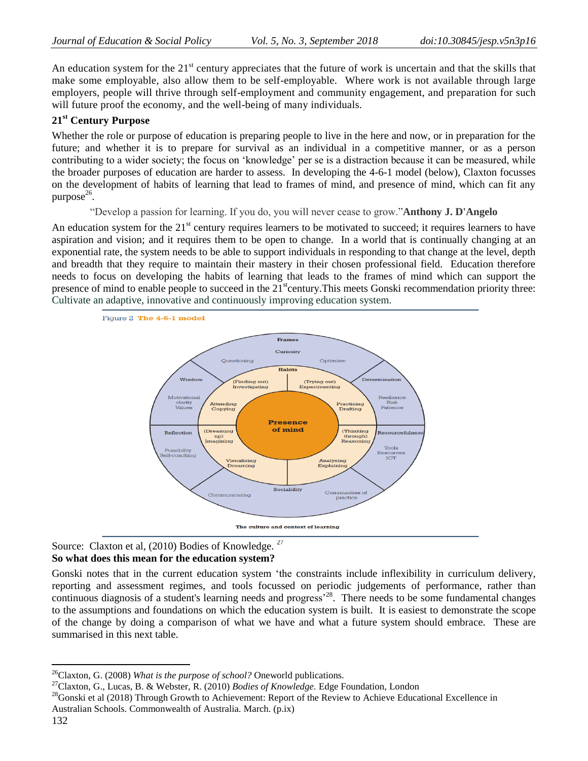An education system for the  $21<sup>st</sup>$  century appreciates that the future of work is uncertain and that the skills that make some employable, also allow them to be self-employable. Where work is not available through large employers, people will thrive through self-employment and community engagement, and preparation for such will future proof the economy, and the well-being of many individuals.

## **21st Century Purpose**

Whether the role or purpose of education is preparing people to live in the here and now, or in preparation for the future; and whether it is to prepare for survival as an individual in a competitive manner, or as a person contributing to a wider society; the focus on "knowledge" per se is a distraction because it can be measured, while the broader purposes of education are harder to assess. In developing the 4-6-1 model (below), Claxton focusses on the development of habits of learning that lead to frames of mind, and presence of mind, which can fit any  $p$ urpose $^{26}$ .

"Develop a passion for learning. If you do, you will never cease to grow."**Anthony J. D'Angelo**

An education system for the 21<sup>st</sup> century requires learners to be motivated to succeed; it requires learners to have aspiration and vision; and it requires them to be open to change. In a world that is continually changing at an exponential rate, the system needs to be able to support individuals in responding to that change at the level, depth and breadth that they require to maintain their mastery in their chosen professional field. Education therefore needs to focus on developing the habits of learning that leads to the frames of mind which can support the presence of mind to enable people to succeed in the  $21<sup>st</sup>$ century. This meets Gonski recommendation priority three: Cultivate an adaptive, innovative and continuously improving education system.



Source: Claxton et al, (2010) Bodies of Knowledge.<sup>27</sup> **So what does this mean for the education system?**

Gonski notes that in the current education system "the constraints include inflexibility in curriculum delivery, reporting and assessment regimes, and tools focussed on periodic judgements of performance, rather than continuous diagnosis of a student's learning needs and progress<sup>28</sup>. There needs to be some fundamental changes to the assumptions and foundations on which the education system is built. It is easiest to demonstrate the scope of the change by doing a comparison of what we have and what a future system should embrace. These are summarised in this next table.

 $\overline{a}$ <sup>26</sup>Claxton, G. (2008) *What is the purpose of school?* Oneworld publications.

<sup>27</sup>Claxton, G., Lucas, B. & Webster, R. (2010) *Bodies of Knowledge.* Edge Foundation, London

 $^{28}$ Gonski et al (2018) Through Growth to Achievement: Report of the Review to Achieve Educational Excellence in Australian Schools. Commonwealth of Australia. March. (p.ix)